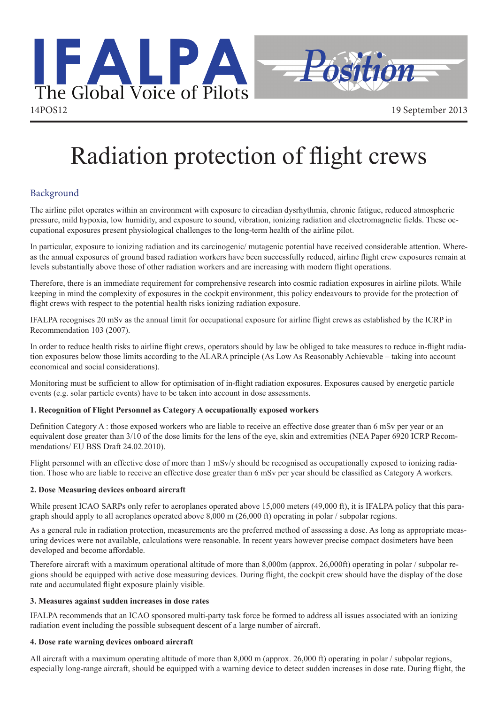

# Radiation protection of flight crews

# Background

The airline pilot operates within an environment with exposure to circadian dysrhythmia, chronic fatigue, reduced atmospheric pressure, mild hypoxia, low humidity, and exposure to sound, vibration, ionizing radiation and electromagnetic fields. These occupational exposures present physiological challenges to the long-term health of the airline pilot.

In particular, exposure to ionizing radiation and its carcinogenic/ mutagenic potential have received considerable attention. Whereas the annual exposures of ground based radiation workers have been successfully reduced, airline flight crew exposures remain at levels substantially above those of other radiation workers and are increasing with modern flight operations.

Therefore, there is an immediate requirement for comprehensive research into cosmic radiation exposures in airline pilots. While keeping in mind the complexity of exposures in the cockpit environment, this policy endeavours to provide for the protection of flight crews with respect to the potential health risks ionizing radiation exposure.

IFALPA recognises 20 mSv as the annual limit for occupational exposure for airline flight crews as established by the ICRP in Recommendation 103 (2007).

In order to reduce health risks to airline flight crews, operators should by law be obliged to take measures to reduce in-flight radiation exposures below those limits according to the ALARA principle (As Low As Reasonably Achievable – taking into account economical and social considerations).

Monitoring must be sufficient to allow for optimisation of in-flight radiation exposures. Exposures caused by energetic particle events (e.g. solar particle events) have to be taken into account in dose assessments.

# **1. Recognition of Flight Personnel as Category A occupationally exposed workers**

Definition Category A : those exposed workers who are liable to receive an effective dose greater than 6 mSv per year or an equivalent dose greater than 3/10 of the dose limits for the lens of the eye, skin and extremities (NEA Paper 6920 ICRP Recommendations/ EU BSS Draft 24.02.2010).

Flight personnel with an effective dose of more than 1 mSv/y should be recognised as occupationally exposed to ionizing radiation. Those who are liable to receive an effective dose greater than 6 mSv per year should be classified as Category A workers.

# **2. Dose Measuring devices onboard aircraft**

While present ICAO SARPs only refer to aeroplanes operated above 15,000 meters (49,000 ft), it is IFALPA policy that this paragraph should apply to all aeroplanes operated above 8,000 m (26,000 ft) operating in polar / subpolar regions.

As a general rule in radiation protection, measurements are the preferred method of assessing a dose. As long as appropriate measuring devices were not available, calculations were reasonable. In recent years however precise compact dosimeters have been developed and become affordable.

Therefore aircraft with a maximum operational altitude of more than 8,000m (approx. 26,000ft) operating in polar / subpolar regions should be equipped with active dose measuring devices. During flight, the cockpit crew should have the display of the dose rate and accumulated flight exposure plainly visible.

# **3. Measures against sudden increases in dose rates**

IFALPA recommends that an ICAO sponsored multi-party task force be formed to address all issues associated with an ionizing radiation event including the possible subsequent descent of a large number of aircraft.

# **4. Dose rate warning devices onboard aircraft**

All aircraft with a maximum operating altitude of more than 8,000 m (approx. 26,000 ft) operating in polar / subpolar regions, especially long-range aircraft, should be equipped with a warning device to detect sudden increases in dose rate. During flight, the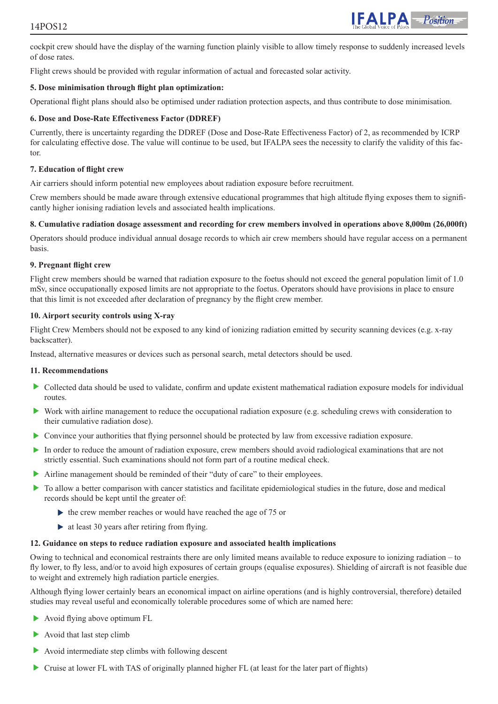# 14POS12



cockpit crew should have the display of the warning function plainly visible to allow timely response to suddenly increased levels of dose rates.

Flight crews should be provided with regular information of actual and forecasted solar activity.

#### **5. Dose minimisation through flight plan optimization:**

Operational flight plans should also be optimised under radiation protection aspects, and thus contribute to dose minimisation.

#### **6. Dose and Dose-Rate Effectiveness Factor (DDREF)**

Currently, there is uncertainty regarding the DDREF (Dose and Dose-Rate Effectiveness Factor) of 2, as recommended by ICRP for calculating effective dose. The value will continue to be used, but IFALPA sees the necessity to clarify the validity of this factor.

#### **7. Education of flight crew**

Air carriers should inform potential new employees about radiation exposure before recruitment.

Crew members should be made aware through extensive educational programmes that high altitude flying exposes them to significantly higher ionising radiation levels and associated health implications.

#### **8. Cumulative radiation dosage assessment and recording for crew members involved in operations above 8,000m (26,000ft)**

Operators should produce individual annual dosage records to which air crew members should have regular access on a permanent basis.

#### **9. Pregnant flight crew**

Flight crew members should be warned that radiation exposure to the foetus should not exceed the general population limit of 1.0 mSv, since occupationally exposed limits are not appropriate to the foetus. Operators should have provisions in place to ensure that this limit is not exceeded after declaration of pregnancy by the flight crew member.

#### **10. Airport security controls using X-ray**

Flight Crew Members should not be exposed to any kind of ionizing radiation emitted by security scanning devices (e.g. x-ray backscatter).

Instead, alternative measures or devices such as personal search, metal detectors should be used.

#### **11. Recommendations**

- Collected data should be used to validate, confirm and update existent mathematical radiation exposure models for individual routes.
- Work with airline management to reduce the occupational radiation exposure (e.g. scheduling crews with consideration to their cumulative radiation dose).
- Convince your authorities that flying personnel should be protected by law from excessive radiation exposure.
- In order to reduce the amount of radiation exposure, crew members should avoid radiological examinations that are not strictly essential. Such examinations should not form part of a routine medical check.
- Airline management should be reminded of their "duty of care" to their employees.
- $\triangleright$  To allow a better comparison with cancer statistics and facilitate epidemiological studies in the future, dose and medical records should be kept until the greater of:
	- $\triangleright$  the crew member reaches or would have reached the age of 75 or
	- $\triangleright$  at least 30 years after retiring from flying.

#### **12. Guidance on steps to reduce radiation exposure and associated health implications**

Owing to technical and economical restraints there are only limited means available to reduce exposure to ionizing radiation – to fly lower, to fly less, and/or to avoid high exposures of certain groups (equalise exposures). Shielding of aircraft is not feasible due to weight and extremely high radiation particle energies.

Although flying lower certainly bears an economical impact on airline operations (and is highly controversial, therefore) detailed studies may reveal useful and economically tolerable procedures some of which are named here:

- Avoid flying above optimum FL
- Avoid that last step climb
- Avoid intermediate step climbs with following descent
- Cruise at lower FL with TAS of originally planned higher FL (at least for the later part of flights)